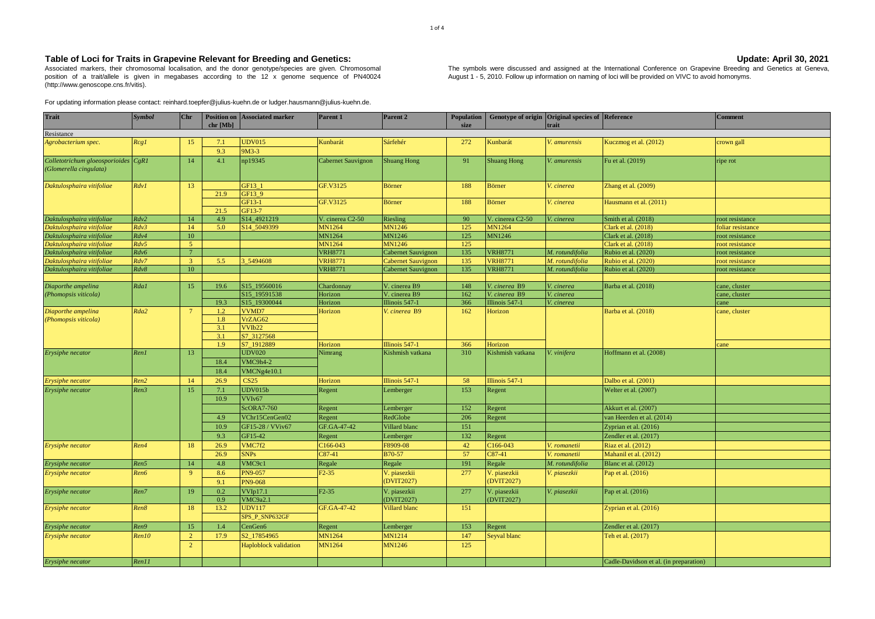## Table of Loci for Traits in Grapevine Relevant for Breeding and Genetics: Vertex 2001

Associated markers, their chromosomal localisation, and the donor genotype/species are given. Chromosomal position of a trait/allele is given in megabases according to the 12 x genome sequence of PN40024 (http://www.genoscope.cns.fr/vitis).

For updating information please contact: reinhard.toepfer@julius-kuehn.de or ludger.hausmann@julius-kuehn.de.

|         | Update: April 30, 2021                                                                                                |
|---------|-----------------------------------------------------------------------------------------------------------------------|
| mosomal | The symbols were discussed and assigned at the International Conference on Grapevine Breeding and Genetics at Geneva, |
| PN40024 | August 1 - 5, 2010. Follow up information on naming of loci will be provided on VIVC to avoid homonyms.               |

| <b>Trait</b>                                                  | <b>Symbol</b> | Chr             | chr [Mb]   | <b>Position on Associated marker</b> | Parent 1                  | Parent 2           | <b>Population</b><br>size |                    | Genotype of origin Original species of Reference<br>trait |                                        | <b>Comment</b>   |         |         |                       |                       |         |  |                     |               |
|---------------------------------------------------------------|---------------|-----------------|------------|--------------------------------------|---------------------------|--------------------|---------------------------|--------------------|-----------------------------------------------------------|----------------------------------------|------------------|---------|---------|-----------------------|-----------------------|---------|--|---------------------|---------------|
| Resistance                                                    |               |                 |            |                                      |                           |                    |                           |                    |                                                           |                                        |                  |         |         |                       |                       |         |  |                     |               |
| Agrobacterium spec.                                           | Rcg1          | 15              | 7.1<br>9.3 | <b>UDV015</b><br>$9M3-3$             | Kunbarát                  | Sárfehér           | 272                       | Kunbarát           | V. amurensis                                              | Kuczmog et al. (2012)                  | crown gall       |         |         |                       |                       |         |  |                     |               |
| Colletotrichum gloeosporioides CgR1<br>(Glomerella cingulata) |               | 14              | 4.1        | np19345                              | <b>Cabernet Sauvignon</b> | <b>Shuang Hong</b> | 91                        | <b>Shuang Hong</b> | V. amurensis                                              | Fu et al. (2019)                       | ripe rot         |         |         |                       |                       |         |  |                     |               |
| Daktulosphaira vitifoliae                                     | Rdv1          | 13              |            | GF13_1                               | GF.V3125                  | <b>Börner</b>      | 188                       | Börner             | V. cinerea                                                | Zhang et al. (2009)                    |                  |         |         |                       |                       |         |  |                     |               |
|                                                               |               |                 | 21.9       | GF13 9<br>GF13-1                     | GF.V3125                  | <b>Börner</b>      | 188                       | <b>Börner</b>      | V. cinerea                                                | Hausmann et al. (2011)                 |                  |         |         |                       |                       |         |  |                     |               |
|                                                               |               |                 | 21.5       | GF13-7                               |                           |                    |                           |                    |                                                           |                                        |                  |         |         |                       |                       |         |  |                     |               |
| Daktulosphaira vitifoliae                                     | Rdv2          | 14              | 4.9        | S14_4921219                          | V. cinerea C2-50          | Riesling           | 90                        | V. cinerea C2-50   | V. cinerea                                                | Smith et al. (2018)                    | root resistance  |         |         |                       |                       |         |  |                     |               |
| Daktulosphaira vitifoliae                                     | Rdv3          | 14              | 5.0        | S14 5049399                          | <b>MN1264</b>             | MN1246             | 125                       | MN1264             |                                                           | Clark et al. (2018)                    | oliar resistance |         |         |                       |                       |         |  |                     |               |
| Daktulosphaira vitifoliae                                     | Rdv4          | 10              |            |                                      | MN1264                    | <b>MN1246</b>      | 125                       | <b>MN1246</b>      |                                                           | Clark et al. (2018)                    | oot resistance   |         |         |                       |                       |         |  |                     |               |
| Daktulosphaira vitifoliae                                     | Rdv5          | 5 <sup>1</sup>  |            |                                      | MN1264                    | MN1246             | 125                       |                    |                                                           | Clark et al. (2018)                    | root resistance  |         |         |                       |                       |         |  |                     |               |
| Daktulosphaira vitifoliae                                     | Rdv6          | $7^{\circ}$     |            |                                      | <b>VRH8771</b>            | Cabernet Sauvignon | 135                       | <b>VRH8771</b>     | M. rotundifolia                                           | Rubio et al. (2020)                    | oot resistance   |         |         |                       |                       |         |  |                     |               |
| Daktulosphaira vitifoliae                                     | Rdv7          | 3 <sup>7</sup>  | 5.5        | 3 5494608                            | <b>VRH8771</b>            | Cabernet Sauvignon | 135                       | <b>VRH8771</b>     | M. rotundifolia                                           | Rubio et al. (2020)                    | root resistance  |         |         |                       |                       |         |  |                     |               |
| Daktulosphaira vitifoliae                                     | Rdv8          | 10              |            |                                      | <b>VRH8771</b>            | Cabernet Sauvignon | 135                       | <b>VRH8771</b>     | M. rotundifolia                                           | Rubio et al. (2020)                    | oot resistance   |         |         |                       |                       |         |  |                     |               |
| Diaporthe ampelina                                            | Rda1          | 15              | 19.6       | S15_19560016                         | Chardonnay                | V. cinerea B9      | 148                       | V. cinerea B9      | V. cinerea                                                | Barba et al. (2018)                    | cane, cluster    |         |         |                       |                       |         |  |                     |               |
| (Phomopsis viticola)                                          |               |                 |            |                                      |                           |                    | S15 19591538              | Horizon            | V. cinerea B9                                             | 162                                    | 7. cinerea B9    | cinerea |         | cane, cluster         |                       |         |  |                     |               |
|                                                               |               |                 | 19.3       | S15_19300044                         | Horizon                   | Illinois 547-1     | 366                       | Illinois 547-1     | V. cinerea                                                |                                        | xane             |         |         |                       |                       |         |  |                     |               |
| Diaporthe ampelina                                            | Rda2          | $7\overline{ }$ |            |                                      |                           |                    |                           |                    |                                                           |                                        | 1.2              | VVMD7   | Horizon | V. cinerea B9         | 162                   | Horizon |  | Barba et al. (2018) | cane, cluster |
| (Phomopsis viticola)                                          |               |                 | 1.8        | VrZAG62                              |                           |                    |                           |                    |                                                           |                                        |                  |         |         |                       |                       |         |  |                     |               |
|                                                               |               |                 | 3.1        | VVIb22                               |                           |                    |                           |                    |                                                           |                                        |                  |         |         |                       |                       |         |  |                     |               |
|                                                               |               |                 | 3.1        | S7_3127568                           |                           |                    |                           |                    |                                                           |                                        |                  |         |         |                       |                       |         |  |                     |               |
|                                                               |               |                 | 1.9        | S7 1912889                           | Horizon                   | Illinois 547-1     | 366                       | Horizon            |                                                           |                                        | cane             |         |         |                       |                       |         |  |                     |               |
| Erysiphe necator                                              | Ren1          | 13              |            | <b>UDV020</b>                        | Nimrang                   | Kishmish vatkana   | 310                       | Kishmish vatkana   | V. vinifera                                               | Hoffmann et al. (2008)                 |                  |         |         |                       |                       |         |  |                     |               |
|                                                               |               |                 | 18.4       | VMC9h4-2                             |                           |                    |                           |                    |                                                           |                                        |                  |         |         |                       |                       |         |  |                     |               |
|                                                               |               |                 | 18.4       | VMCNg4e10.1                          |                           |                    |                           |                    |                                                           |                                        |                  |         |         |                       |                       |         |  |                     |               |
|                                                               | Ren2          | 14              | 26.9       | <b>CS25</b>                          | Horizon                   | Illinois 547-1     | 58                        | Illinois 547-1     |                                                           | Dalbo et al. (2001)                    |                  |         |         |                       |                       |         |  |                     |               |
| <b>Erysiphe necator</b><br>Erysiphe necator                   | Ren3          | 15              | 7.1        | <b>UDV015b</b>                       | Regent                    | Lemberger          | 153                       | Regent             |                                                           | Welter et al. (2007)                   |                  |         |         |                       |                       |         |  |                     |               |
|                                                               |               |                 | 10.9       | VVI <sub>v67</sub>                   |                           |                    |                           |                    |                                                           |                                        |                  |         |         |                       |                       |         |  |                     |               |
|                                                               |               |                 |            | <b>ScORA7-760</b>                    | Regent                    | Lemberger          | 152                       | Regent             |                                                           | Akkurt et al. (2007)                   |                  |         |         |                       |                       |         |  |                     |               |
|                                                               |               |                 | 4.9        | VChr15CenGen02                       | Regent                    | RedGlobe           | 206                       | Regent             |                                                           | van Heerden et al. (2014)              |                  |         |         |                       |                       |         |  |                     |               |
|                                                               |               |                 |            |                                      |                           |                    | 10.9                      | GF15-28 / VViv67   | GF.GA-47-42                                               | Villard blanc                          | 151              |         |         | Zyprian et al. (2016) |                       |         |  |                     |               |
|                                                               |               |                 |            |                                      |                           |                    |                           | 9.3                | GF15-42                                                   | Regent                                 | Lemberger        | 132     | Regent  |                       | Zendler et al. (2017) |         |  |                     |               |
| Erysiphe necator                                              | Ren4          | 18              | 26.9       | VMC7f2                               | C166-043                  | F8909-08           | 42                        | C166-043           | V. romanetii                                              | Riaz et al. (2012)                     |                  |         |         |                       |                       |         |  |                     |               |
|                                                               |               |                 | 26.9       | <b>SNPs</b>                          | $C87-41$                  | B70-57             | 57                        | $C87-41$           | V. romanetii                                              | Mahanil et al. (2012)                  |                  |         |         |                       |                       |         |  |                     |               |
| Erysiphe necator                                              | Ren5          | 14              | 4.8        | VMC9c1                               | Regale                    | Regale             | 191                       | Regale             | M. rotundifolia                                           | Blanc et al. (2012)                    |                  |         |         |                       |                       |         |  |                     |               |
| Erysiphe necator                                              | Ren6          | 9               | 8.6        | <b>PN9-057</b>                       | $F2-35$                   | V. piasezkii       | 277                       | V. piasezkii       | V. piasezkii                                              | Pap et al. (2016)                      |                  |         |         |                       |                       |         |  |                     |               |
|                                                               |               |                 | 9.1        | <b>PN9-068</b>                       |                           | (DVIT2027)         |                           | (DVIT2027)         |                                                           |                                        |                  |         |         |                       |                       |         |  |                     |               |
| Erysiphe necator                                              | Ren7          | 19              | 0.2        | VVD17.1                              | $F2-35$                   | V. piasezkii       | 277                       | V. piasezkii       | V. piasezkii                                              | Pap et al. (2016)                      |                  |         |         |                       |                       |         |  |                     |               |
|                                                               |               |                 | 0.9        | VMC9a2.1                             |                           | (DVIT2027)         |                           | (DVIT2027)         |                                                           |                                        |                  |         |         |                       |                       |         |  |                     |               |
|                                                               | Ren8          | 18              | 13.2       | <b>UDV117</b><br>GF.GA-47-42         | <b>Villard blanc</b>      | 151                |                           |                    |                                                           |                                        |                  |         |         |                       |                       |         |  |                     |               |
| Erysiphe necator                                              |               |                 |            | SPS_P_SNP632GF                       |                           |                    |                           |                    |                                                           | Zyprian et al. (2016)                  |                  |         |         |                       |                       |         |  |                     |               |
|                                                               | Ren9          | 15              | 1.4        | CenGen6                              | Regent                    | Lemberger          | 153                       | Regent             |                                                           | Zendler et al. (2017)                  |                  |         |         |                       |                       |         |  |                     |               |
| Erysiphe necator<br>Erysiphe necator                          | Ren10         | $2^{\circ}$     | 17.9       | S2 17854965                          | MN1264                    | MN1214             | 147                       | Seyval blanc       |                                                           | Teh et al. (2017)                      |                  |         |         |                       |                       |         |  |                     |               |
|                                                               |               | $\overline{2}$  |            | Haploblock validation                | MN1264                    | <b>MN1246</b>      | 125                       |                    |                                                           |                                        |                  |         |         |                       |                       |         |  |                     |               |
|                                                               |               |                 |            |                                      |                           |                    |                           |                    |                                                           |                                        |                  |         |         |                       |                       |         |  |                     |               |
| Erysiphe necator                                              | Ren11         |                 |            |                                      |                           |                    |                           |                    |                                                           | Cadle-Davidson et al. (in preparation) |                  |         |         |                       |                       |         |  |                     |               |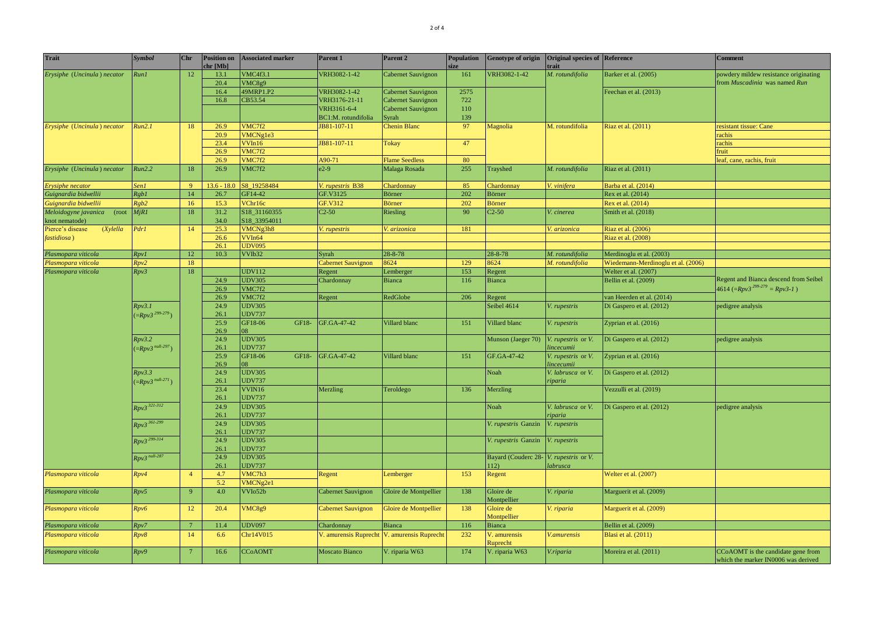| <b>Trait</b>                                 | <b>Symbol</b>                   | Chr             | <b>Position on</b><br>chr[Mb] | <b>Associated marker</b>       | Parent 1              | Parent 2                       | <b>Population</b> | <b>Genotype of origin</b> | Original species of Reference<br>trait |                                    | <b>Comment</b>                                                            |          |  |                        |  |  |  |  |      |               |  |  |  |                            |                    |  |  |
|----------------------------------------------|---------------------------------|-----------------|-------------------------------|--------------------------------|-----------------------|--------------------------------|-------------------|---------------------------|----------------------------------------|------------------------------------|---------------------------------------------------------------------------|----------|--|------------------------|--|--|--|--|------|---------------|--|--|--|----------------------------|--------------------|--|--|
| Erysiphe (Uncinula) necator                  | Run1                            | 12              | 13.1                          | VMC4f3.1                       | VRH3082-1-42          | Cabernet Sauvignon             | 161               | VRH3082-1-42              | M. rotundifolia                        | Barker et al. (2005)               | powdery mildew resistance originating                                     |          |  |                        |  |  |  |  |      |               |  |  |  |                            |                    |  |  |
|                                              |                                 |                 | 20.4                          | VMC8g9                         |                       |                                |                   |                           |                                        |                                    | from Muscadinia was named Run                                             |          |  |                        |  |  |  |  |      |               |  |  |  |                            |                    |  |  |
|                                              |                                 |                 | 16.4                          | 49MRP1.P2                      | VRH3082-1-42          | Cabernet Sauvignon             | 2575              |                           |                                        | Feechan et al. (2013)              |                                                                           |          |  |                        |  |  |  |  |      |               |  |  |  |                            |                    |  |  |
|                                              |                                 |                 | 16.8                          | CB53.54                        | VRH3176-21-11         | Cabernet Sauvignon             | 722               |                           |                                        |                                    |                                                                           |          |  |                        |  |  |  |  |      |               |  |  |  |                            |                    |  |  |
|                                              |                                 |                 |                               |                                | VRH3161-6-4           | Cabernet Sauvignon             | 110               |                           |                                        |                                    |                                                                           |          |  |                        |  |  |  |  |      |               |  |  |  |                            |                    |  |  |
|                                              |                                 |                 |                               |                                | BC1:M. rotundifolia   | Syrah                          | 139               |                           |                                        |                                    |                                                                           |          |  |                        |  |  |  |  |      |               |  |  |  |                            |                    |  |  |
| Erysiphe (Uncinula) necator                  | Run2.1                          | 18              | 26.9                          | VMC7f2                         | JB81-107-11           | Chenin Blanc                   | 97                | Magnolia                  | M. rotundifolia                        | Riaz et al. (2011)                 | resistant tissue: Cane                                                    |          |  |                        |  |  |  |  |      |               |  |  |  |                            |                    |  |  |
|                                              |                                 |                 | 20.9                          | VMCNgle3                       |                       |                                |                   |                           |                                        |                                    | rachis                                                                    |          |  |                        |  |  |  |  |      |               |  |  |  |                            |                    |  |  |
|                                              |                                 |                 | 23.4                          | VVIn16                         | JB81-107-11           | Tokay                          | 47                |                           |                                        |                                    | rachis                                                                    |          |  |                        |  |  |  |  |      |               |  |  |  |                            |                    |  |  |
|                                              |                                 |                 | 26.9<br>26.9                  | VMC7f2<br>VMC7f2               | A90-71                | <b>Flame Seedless</b>          | 80                |                           |                                        |                                    | fruit<br>eaf, cane, rachis, fruit                                         |          |  |                        |  |  |  |  |      |               |  |  |  |                            |                    |  |  |
| Erysiphe (Uncinula) necator                  | Run2.2                          | 18              | 26.9                          | VMC7f2                         | $e2-9$                | Malaga Rosada                  | 255               |                           | M. rotundifolia                        | Riaz et al. (2011)                 |                                                                           |          |  |                        |  |  |  |  |      |               |  |  |  |                            |                    |  |  |
|                                              |                                 |                 |                               |                                |                       |                                |                   | Trayshed                  |                                        |                                    |                                                                           |          |  |                        |  |  |  |  |      |               |  |  |  |                            |                    |  |  |
| Erysiphe necator                             | Sen1                            | 9 <sup>°</sup>  | $13.6 - 18.0$                 | S8_19258484                    | V. rupestris B38      | Chardonnay                     | 85                | Chardonnay                | V. vinifera                            | Barba et al. (2014)                |                                                                           |          |  |                        |  |  |  |  |      |               |  |  |  |                            |                    |  |  |
| Guignardia bidwellii                         | Rgb1                            | $14\,$          | 26.7                          | GF14-42                        | GF.V3125              | Börner                         | 202               | Börner                    |                                        | Rex et al. (2014)                  |                                                                           |          |  |                        |  |  |  |  |      |               |  |  |  |                            |                    |  |  |
| Guignardia bidwellii                         | Rgb2                            | 16              | 15.3                          | VChr16c                        | GF.V312               | Börner                         | 202               | Börner                    |                                        | Rex et al. (2014)                  |                                                                           |          |  |                        |  |  |  |  |      |               |  |  |  |                            |                    |  |  |
| Meloidogyne javanica (root<br>knot nematode) | MjRI                            | 18              | 31.2<br>34.0                  | S18_31160355<br>S18_33954011   | $C2-50$               | Riesling                       | 90                | $C2-50$                   | V. cinerea                             | Smith et al. (2018)                |                                                                           |          |  |                        |  |  |  |  |      |               |  |  |  |                            |                    |  |  |
| Pierce's disease<br>$(X$ ylella              | Pdr1                            | 14              | 25.3                          | VMCNg3h8                       | V. rupestris          | V. arizonica                   | 181               |                           | V. arizonica                           | Riaz et al. (2006)                 |                                                                           |          |  |                        |  |  |  |  |      |               |  |  |  |                            |                    |  |  |
| fastidiosa)                                  |                                 |                 | 26.6                          | VVIn64                         |                       |                                |                   |                           |                                        | Riaz et al. (2008)                 |                                                                           |          |  |                        |  |  |  |  |      |               |  |  |  |                            |                    |  |  |
|                                              |                                 |                 | 26.1                          | <b>UDV095</b>                  |                       |                                |                   |                           |                                        |                                    |                                                                           |          |  |                        |  |  |  |  |      |               |  |  |  |                            |                    |  |  |
| Plasmopara viticola                          | Rpv1                            | 12 <sup>°</sup> | 10.3                          | VVIb32                         | Syrah                 | $28 - 8 - 78$                  |                   | $28 - 8 - 78$             | M. rotundifolia                        | Merdinoglu et al. (2003)           |                                                                           |          |  |                        |  |  |  |  |      |               |  |  |  |                            |                    |  |  |
| Plasmopara viticola                          | Rpv2                            | 18              |                               |                                | Cabernet Sauvignon    | 3624                           | 129               | 8624                      | M. rotundifolia                        | Wiedemann-Merdinoglu et al. (2006) |                                                                           |          |  |                        |  |  |  |  |      |               |  |  |  |                            |                    |  |  |
| Plasmopara viticola                          | Rpv3                            | 18              |                               | <b>UDV112</b>                  | Regent                | Lemberger                      | 153               | Regent                    |                                        | Welter et al. (2007)               |                                                                           |          |  |                        |  |  |  |  |      |               |  |  |  |                            |                    |  |  |
|                                              |                                 |                 | 24.9                          | <b>UDV305</b>                  | Chardonnay            | <b>Bianca</b>                  | 116               | <b>Bianca</b>             |                                        | Bellin et al. (2009)               | Regent and Bianca descend from Seibel                                     |          |  |                        |  |  |  |  |      |               |  |  |  |                            |                    |  |  |
|                                              |                                 |                 | 26.9                          | VMC7f2                         |                       |                                |                   |                           |                                        |                                    | $4614$ (=Rpv3 <sup>299-279</sup> = Rpv3-1)                                |          |  |                        |  |  |  |  |      |               |  |  |  |                            |                    |  |  |
|                                              |                                 |                 | 26.9                          | VMC7f2                         | Regent                | RedGlobe                       | 206               | Regent                    |                                        | van Heerden et al. (2014)          |                                                                           |          |  |                        |  |  |  |  |      |               |  |  |  |                            |                    |  |  |
|                                              | Rpv3.1<br>$(=\!Rpv3^{299-279})$ |                 | 24.9<br>26.1                  | <b>UDV305</b><br><b>UDV737</b> |                       |                                |                   | Seibel 4614               | rupestris                              | Di Gaspero et al. (2012)           | pedigree analysis                                                         |          |  |                        |  |  |  |  |      |               |  |  |  |                            |                    |  |  |
|                                              |                                 |                 | 25.9<br>26.9                  | GF18-<br>GF18-06<br>08         | GF.GA-47-42           | Villard blanc                  | 151               | Villard blanc             | V. rupestris                           | Zyprian et al. (2016)              |                                                                           |          |  |                        |  |  |  |  |      |               |  |  |  |                            |                    |  |  |
|                                              | Rpv3.2                          |                 | 24.9                          | <b>UDV305</b>                  |                       |                                |                   | Munson (Jaeger 70)        | V. rupestris or V.                     | Di Gaspero et al. (2012)           | pedigree analysis                                                         |          |  |                        |  |  |  |  |      |               |  |  |  |                            |                    |  |  |
|                                              | $(=\!Rpv3^{null-297})$          |                 | 26.1                          | <b>UDV737</b>                  |                       |                                |                   |                           | incecumii                              |                                    |                                                                           |          |  |                        |  |  |  |  |      |               |  |  |  |                            |                    |  |  |
|                                              |                                 |                 | 25.9                          | GF18-06<br>GF18-               | GF.GA-47-42           | Villard blanc                  | 151               | GF.GA-47-42               | V. rupestris or V.                     | Zyprian et al. (2016)              |                                                                           |          |  |                        |  |  |  |  |      |               |  |  |  |                            |                    |  |  |
|                                              |                                 |                 | 26.9                          | 08                             |                       |                                |                   |                           | incecumii                              |                                    |                                                                           |          |  |                        |  |  |  |  |      |               |  |  |  |                            |                    |  |  |
|                                              | Rpv3.3                          |                 | 24.9                          | <b>UDV305</b>                  |                       |                                |                   | Noah                      | V. labrusca or V.                      | Di Gaspero et al. (2012)           |                                                                           |          |  |                        |  |  |  |  |      |               |  |  |  |                            |                    |  |  |
|                                              | $(=\!Rpv3^{null-271})$          |                 | 26.1                          | <b>UDV737</b>                  |                       |                                |                   |                           | riparia                                |                                    |                                                                           |          |  |                        |  |  |  |  |      |               |  |  |  |                            |                    |  |  |
|                                              |                                 |                 |                               |                                |                       |                                | 23.4<br>26.1      | VVIN16<br><b>UDV737</b>   | Merzling                               | Teroldego                          | 136                                                                       | Merzling |  | Vezzulli et al. (2019) |  |  |  |  |      |               |  |  |  |                            |                    |  |  |
|                                              | $Rpv3^{321-312}$                |                 | 24.9<br>26.1                  | <b>UDV305</b><br><b>UDV737</b> |                       |                                |                   | Noah                      | V. labrusca or V.<br>iparia            | Di Gaspero et al. (2012)           | pedigree analysis                                                         |          |  |                        |  |  |  |  |      |               |  |  |  |                            |                    |  |  |
|                                              | $Rpv3^{361-299}$                |                 | 24.9                          | <b>UDV305</b>                  |                       |                                |                   | 7. rupestris Ganzin       | V. rupestris                           |                                    |                                                                           |          |  |                        |  |  |  |  |      |               |  |  |  |                            |                    |  |  |
|                                              |                                 |                 | $Rpv3^{299.314}$              |                                | 26.1<br>24.9          | <b>UDV737</b><br><b>UDV305</b> |                   |                           |                                        | 7. rupestris Ganzin                | rupestris                                                                 |          |  |                        |  |  |  |  |      |               |  |  |  |                            |                    |  |  |
|                                              |                                 |                 | 26.1                          | <b>UDV737</b>                  |                       |                                |                   |                           |                                        |                                    |                                                                           |          |  |                        |  |  |  |  |      |               |  |  |  |                            |                    |  |  |
|                                              | $Rpv3$ <sup>null-287</sup>      |                 |                               |                                |                       |                                |                   |                           |                                        |                                    |                                                                           |          |  |                        |  |  |  |  | 24.9 | <b>UDV305</b> |  |  |  | <b>Bayard</b> (Couderc 28- | V. rupestris or V. |  |  |
|                                              |                                 |                 | 26.1                          | <b>UDV737</b>                  |                       |                                |                   | 112)                      | abrusca                                |                                    |                                                                           |          |  |                        |  |  |  |  |      |               |  |  |  |                            |                    |  |  |
| Plasmopara viticola                          | Rpv4                            | $\overline{4}$  | 4.7<br>5.2                    | VMC7h3<br>VMCNg2e1             | Regent                | Lemberger                      | 153               | Regent                    |                                        | Welter et al. (2007)               |                                                                           |          |  |                        |  |  |  |  |      |               |  |  |  |                            |                    |  |  |
| Plasmopara viticola                          | Rpv5                            | 9 <sup>°</sup>  | 4.0                           | VVI <sub>052b</sub>            | Cabernet Sauvignon    | Gloire de Montpellier          | 138               | Gloire de<br>Montpellier  | V. riparia                             | Marguerit et al. (2009)            |                                                                           |          |  |                        |  |  |  |  |      |               |  |  |  |                            |                    |  |  |
| Plasmopara viticola                          | Rpv6                            | 12              | 20.4                          | VMC8g9                         | Cabernet Sauvignon    | Gloire de Montpellier          | 138               | Gloire de<br>Montpellier  | V. riparia                             | Marguerit et al. (2009)            |                                                                           |          |  |                        |  |  |  |  |      |               |  |  |  |                            |                    |  |  |
| Plasmopara viticola                          | Rpv7                            | $\tau$          | 11.4                          | <b>UDV097</b>                  | Chardonnay            | <b>Bianca</b>                  | 116               | <b>Bianca</b>             |                                        | Bellin et al. (2009)               |                                                                           |          |  |                        |  |  |  |  |      |               |  |  |  |                            |                    |  |  |
| Plasmopara viticola                          | Rpv8                            | 14              | 6.6                           | Chr14V015                      | V. amurensis Ruprecht | V. amurensis Ruprecht          | 232               | V. amurensis<br>Ruprecht  | V.amurensis                            | <b>Blasi et al.</b> (2011)         |                                                                           |          |  |                        |  |  |  |  |      |               |  |  |  |                            |                    |  |  |
| Plasmopara viticola                          | Rpv9                            | $7\phantom{.0}$ | 16.6                          | <b>CC<sub>O</sub>AOMT</b>      | <b>Moscato Bianco</b> | V. riparia W63                 | 174               | V. riparia W63            | V.riparia                              | Moreira et al. (2011)              | CCoAOMT is the candidate gene from<br>which the marker IN0006 was derived |          |  |                        |  |  |  |  |      |               |  |  |  |                            |                    |  |  |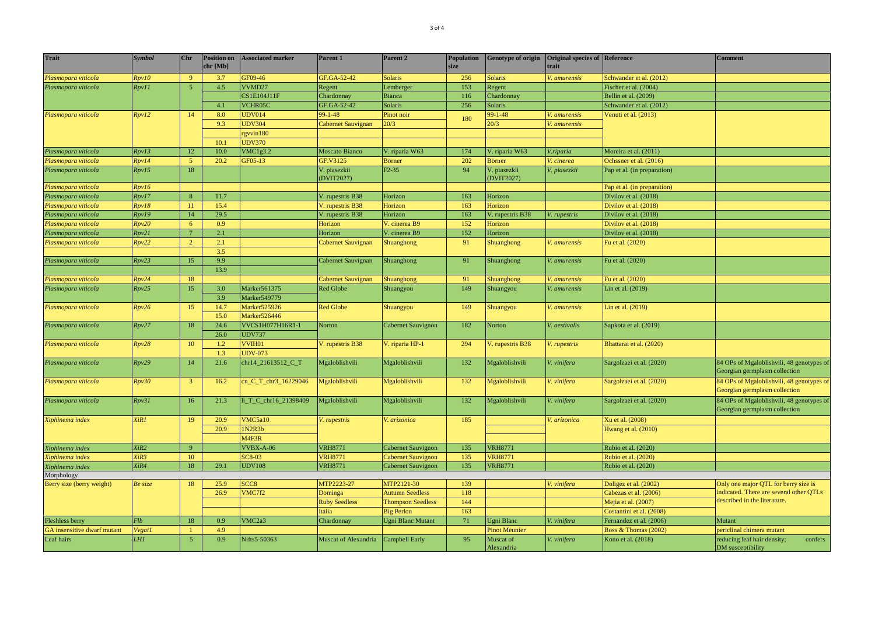| <b>Trait</b>                 | <b>Symbol</b>   | <b>Chr</b>      | <b>Position on</b><br>chr [Mb] | <b>Associated marker</b> | Parent 1                         | Parent <sub>2</sub>       | <b>Population</b><br>size | <b>Genotype of origin</b> | Original species of Reference<br>trait |                             | <b>Comment</b>                                                             |
|------------------------------|-----------------|-----------------|--------------------------------|--------------------------|----------------------------------|---------------------------|---------------------------|---------------------------|----------------------------------------|-----------------------------|----------------------------------------------------------------------------|
| Plasmopara viticola          | Rpv10           | 9 <sup>°</sup>  | 3.7                            | GF09-46                  | GF.GA-52-42                      | <b>Solaris</b>            | 256                       | Solaris                   | V. amurensis                           | Schwander et al. (2012)     |                                                                            |
| Plasmopara viticola          | Rpv11           | $\sqrt{5}$      | 4.5                            | VVMD27                   | Regent                           | Lemberger                 | 153                       | Regent                    |                                        | Fischer et al. (2004)       |                                                                            |
|                              |                 |                 |                                | CS1E104J11F              | Chardonnay                       | <b>Bianca</b>             | 116                       | Chardonnay                |                                        | Bellin et al. (2009)        |                                                                            |
|                              |                 |                 | 4.1                            | VCHR05C                  | GF.GA-52-42                      | Solaris                   | 256                       | Solaris                   |                                        | Schwander et al. (2012)     |                                                                            |
| Plasmopara viticola          | Rpv12           | 14              | 8.0                            | <b>UDV014</b>            | $99 - 1 - 48$                    | Pinot noir                | 180                       | $99 - 1 - 48$             | V. amurensis                           | Venuti et al. (2013)        |                                                                            |
|                              |                 |                 | 9.3                            | <b>UDV304</b>            | Cabernet Sauvignan               | 20/3                      |                           | 20/3                      | V. amurensis                           |                             |                                                                            |
|                              |                 |                 |                                | gyvin180                 |                                  |                           |                           |                           |                                        |                             |                                                                            |
|                              |                 |                 | 10.1                           | <b>UDV370</b>            |                                  |                           |                           |                           |                                        |                             |                                                                            |
| Plasmopara viticola          | Rpv13           | 12              | 10.0                           | VMC1g3.2                 | <b>Moscato Bianco</b>            | V. riparia W63            | 174                       | V. riparia W63            | V.riparia                              | Moreira et al. (2011)       |                                                                            |
| Plasmopara viticola          | Rpv14           | 5 <sup>°</sup>  | 20.2                           | GF05-13                  | GF.V3125                         | <b>Börner</b>             | 202                       | Börner                    | V. cinerea                             | Ochssner et al. (2016)      |                                                                            |
| Plasmopara viticola          | Rpv15           | $18\,$          |                                |                          | /. piasezkii<br><b>DVIT2027)</b> | $F2-35$                   | 94                        | . piasezkii<br>(DVIT2027) | V. piasezkii                           | Pap et al. (in preparation) |                                                                            |
| Plasmopara viticola          | Rpv16           |                 |                                |                          |                                  |                           |                           |                           |                                        | Pap et al. (in preparation) |                                                                            |
| Plasmopara viticola          | Rpv17           | 8 <sup>°</sup>  | 11.7                           |                          | V. rupestris B38                 | Horizon                   | 163                       | Horizon                   |                                        | Divilov et al. (2018)       |                                                                            |
| Plasmopara viticola          | Rpv18           | 11              | 15.4                           |                          | V. rupestris B38                 | Horizon                   | 163                       | Horizon                   |                                        | Divilov et al. (2018)       |                                                                            |
| Plasmopara viticola          | Rpv19           | 14              | 29.5                           |                          | V. rupestris B38                 | Horizon                   | 163                       | V. rupestris B38          | V. rupestris                           | Divilov et al. (2018)       |                                                                            |
| Plasmopara viticola          | Rpv20           | 6 <sup>6</sup>  | 0.9                            |                          | Horizon                          | V. cinerea B9             | 152                       | Horizon                   |                                        | Divilov et al. (2018)       |                                                                            |
| Plasmopara viticola          | Rpv21           | $7\phantom{.0}$ | 2.1                            |                          | Horizon                          | V. cinerea B9             | 152                       | Horizon                   |                                        | Divilov et al. (2018)       |                                                                            |
| Plasmopara viticola          | Rpv22           | $\overline{2}$  | 2.1                            |                          | Cabernet Sauvignan               | Shuanghong                | 91                        | Shuanghong                | V. amurensis                           | Fu et al. (2020)            |                                                                            |
|                              |                 |                 | 3.5                            |                          |                                  |                           |                           |                           |                                        |                             |                                                                            |
| Plasmopara viticola          | Rpv23           | 15              | 9.9                            |                          | Cabernet Sauvignan               | Shuanghong                | 91                        | Shuanghong                | V. amurensis                           | Fu et al. (2020)            |                                                                            |
|                              |                 |                 | 13.9                           |                          |                                  |                           |                           |                           |                                        |                             |                                                                            |
| Plasmopara viticola          | Rpv24           | 18              |                                |                          | Cabernet Sauvignan               | Shuanghong                | 91                        | Shuanghong                | V. amurensis                           | Fu et al. (2020)            |                                                                            |
| Plasmopara viticola          | Rpv25           | 15              | 3.0                            | Marker561375             | <b>Red Globe</b>                 | Shuangyou                 | 149                       | Shuangyou                 | V. amurensis                           | Lin et al. (2019)           |                                                                            |
|                              |                 |                 | 3.9                            | Marker549779             |                                  |                           |                           |                           |                                        |                             |                                                                            |
| Plasmopara viticola          | Rpv26           | 15              | 14.7                           | Marker525926             | <b>Red Globe</b>                 | Shuangyou                 | 149                       | Shuangyou                 | V. amurensis                           | Lin et al. $(2019)$         |                                                                            |
|                              |                 |                 | 15.0                           | Marker526446             |                                  |                           |                           |                           |                                        |                             |                                                                            |
| Rpv27<br>Plasmopara viticola |                 | 18              | 24.6<br>VVCS1H077H16R1-1       | Norton                   | Cabernet Sauvignon               | 182                       | Norton                    | V. aestivalis             | Sapkota et al. (2019)                  |                             |                                                                            |
|                              |                 |                 | 26.0                           | <b>UDV737</b>            |                                  |                           |                           |                           |                                        |                             |                                                                            |
| Plasmopara viticola          | Rpv28           | 10              | 1.2                            | VVIH01                   | V. rupestris B38                 | V. riparia HP-1           | 294                       | V. rupestris B38          | V. rupestris                           | Bhattarai et al. (2020)     |                                                                            |
|                              |                 |                 | 1.3                            | <b>UDV-073</b>           |                                  |                           |                           |                           |                                        |                             |                                                                            |
| Plasmopara viticola          | Rpv29           | 14              | 21.6                           | chr14_21613512_C_T       | Mgaloblishvili                   | Mgaloblishvili            | 132                       | Mgaloblishvili            | V. vinifera                            | Sargolzaei et al. (2020)    | 84 OPs of Mgaloblishvili, 48 genotypes of<br>Georgian germplasm collection |
| Plasmopara viticola          | Rpv30           | $\overline{3}$  | 16.2                           | cn_C_T_chr3_16229046     | Mgaloblishvili                   | Mgaloblishvili            | 132                       | Mgaloblishvili            | V. vinifera                            | Sargolzaei et al. (2020)    | 84 OPs of Mgaloblishvili, 48 genotypes of                                  |
|                              |                 |                 |                                |                          |                                  |                           |                           |                           |                                        |                             | Georgian germplasm collection                                              |
| Plasmopara viticola          | Rpv31           | 16              | 21.3                           | li_T_C_chr16_21398409    | Mgaloblishvili                   | Mgaloblishvili            | 132                       | Mgaloblishvili            | V. vinifera                            | Sargolzaei et al. (2020)    | 84 OPs of Mgaloblishvili, 48 genotypes of<br>Georgian germplasm collection |
| Xiphinema index              | XiR1            | 19              | 20.9                           | VMC5a10                  | V. rupestris                     | V. arizonica              | 185                       |                           | V. arizonica                           | Xu et al. (2008)            |                                                                            |
|                              |                 |                 | 20.9                           | 1N2R3b                   |                                  |                           |                           |                           |                                        | Hwang et al. (2010)         |                                                                            |
|                              |                 |                 |                                | M <sub>4F3R</sub>        |                                  |                           |                           |                           |                                        |                             |                                                                            |
| Xiphinema index              | XiR2            | $\overline{9}$  |                                | VVBX-A-06                | <b>VRH8771</b>                   | <b>Cabernet Sauvignon</b> | 135                       | <b>VRH8771</b>            |                                        | Rubio et al. (2020)         |                                                                            |
| Xiphinema index              | XiR3            | 10              |                                | <b>SC8-03</b>            | <b>VRH8771</b>                   | <b>Cabernet Sauvignon</b> | 135                       | <b>VRH8771</b>            |                                        | Rubio et al. (2020)         |                                                                            |
| Xiphinema index              | XiR4            | 18              | 29.1                           | <b>UDV108</b>            | <b>VRH8771</b>                   | Cabernet Sauvignon        | 135                       | <b>VRH8771</b>            |                                        | Rubio et al. (2020)         |                                                                            |
| Morphology                   |                 |                 |                                |                          |                                  |                           |                           |                           |                                        |                             |                                                                            |
| Berry size (berry weight)    | Be size         | 18              | 25.9                           | SCC <sub>8</sub>         | MTP2223-27                       | MTP2121-30                | 139                       |                           | V. vinifera                            | Doligez et al. (2002)       | Only one major QTL for berry size is                                       |
|                              |                 |                 | 26.9                           | VMC7f2                   | Dominga                          | <b>Autumn Seedless</b>    | 118                       |                           |                                        | Cabezas et al. (2006)       | indicated. There are several other QTLs                                    |
|                              |                 |                 |                                |                          | <b>Ruby Seedless</b>             | <b>Thompson Seedless</b>  | 144                       |                           |                                        | Mejia et al. (2007)         | described in the literature.                                               |
|                              |                 |                 |                                |                          | <b>Italia</b>                    | <b>Big Perlon</b>         | 163                       |                           |                                        | Costantini et al. (2008)    |                                                                            |
| <b>Fleshless berry</b>       | <b>Flb</b>      | $18\,$          | 0.9                            | VMC <sub>2a</sub> 3      | Chardonnay                       | <b>Ugni Blanc Mutant</b>  | 71                        | Jgni Blanc                | V. vinifera                            | Fernandez et al. (2006)     | Mutant                                                                     |
| GA insensitive dwarf mutant  | <b>V</b> vgai1  | $\mathbf{1}$    | 4.9                            |                          |                                  |                           |                           | <b>Pinot Meunier</b>      |                                        | Boss & Thomas (2002)        | periclinal chimera mutant                                                  |
| Leaf hairs                   | LH <sub>1</sub> | $\overline{5}$  | 0.9 <sub>0</sub>               | Nifts5-50363             | Muscat of Alexandria             | <b>Campbell Early</b>     | 95                        | Muscat of<br>Alexandria   | V. vinifera                            | Kono et al. (2018)          | reducing leaf hair density;<br>confers<br>DM susceptibility                |